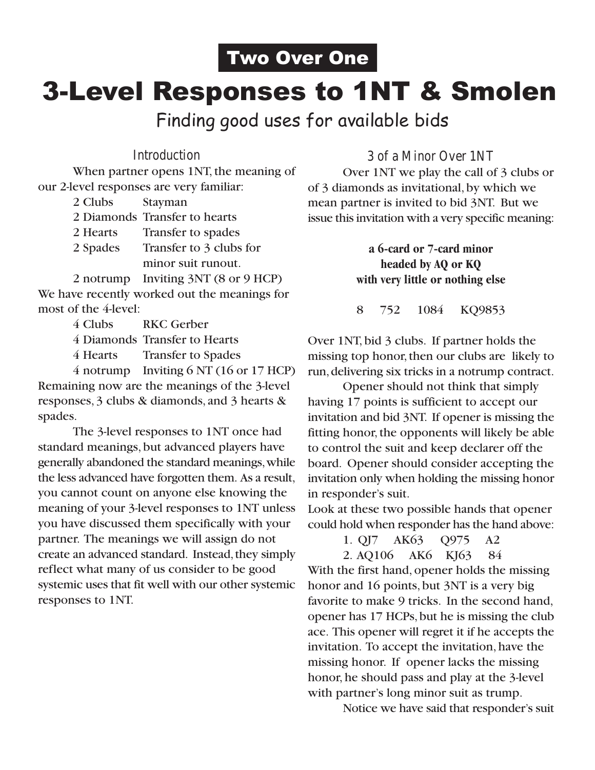## 3-Level Responses to 1NT & Smolen Two Over One

Finding good uses for available bids

#### **Introduction**

When partner opens 1NT, the meaning of our 2-level responses are very familiar:

- 2 Clubs Stayman
- 2 Diamonds Transfer to hearts
- 2 Hearts Transfer to spades
- 2 Spades Transfer to 3 clubs for minor suit runout.

2 notrump Inviting 3NT (8 or 9 HCP) We have recently worked out the meanings for most of the 4-level:

- 4 Clubs RKC Gerber
- 4 Diamonds Transfer to Hearts
- 4 Hearts Transfer to Spades

4 notrump Inviting 6 NT (16 or 17 HCP) Remaining now are the meanings of the 3-level responses, 3 clubs & diamonds, and 3 hearts & spades.

The 3-level responses to 1NT once had standard meanings, but advanced players have generally abandoned the standard meanings, while the less advanced have forgotten them. As a result, you cannot count on anyone else knowing the meaning of your 3-level responses to 1NT unless you have discussed them specifically with your partner. The meanings we will assign do not create an advanced standard. Instead, they simply reflect what many of us consider to be good systemic uses that fit well with our other systemic responses to 1NT.

**3 of a Minor Over 1NT**

Over 1NT we play the call of 3 clubs or of 3 diamonds as invitational, by which we mean partner is invited to bid 3NT. But we issue this invitation with a very specific meaning:

> **a 6-card or 7-card minor headed by AQ or KQ with very little or nothing else**

> 8 752 1084 KQ9853

Over 1NT, bid 3 clubs. If partner holds the missing top honor, then our clubs are likely to run, delivering six tricks in a notrump contract.

Opener should not think that simply having 17 points is sufficient to accept our invitation and bid 3NT. If opener is missing the fitting honor, the opponents will likely be able to control the suit and keep declarer off the board. Opener should consider accepting the invitation only when holding the missing honor in responder's suit.

Look at these two possible hands that opener could hold when responder has the hand above:

1. QJ7 AK63 Q975 A2

2. AQ106 AK6 KJ63 84

With the first hand, opener holds the missing honor and 16 points, but 3NT is a very big favorite to make 9 tricks. In the second hand, opener has 17 HCPs, but he is missing the club ace. This opener will regret it if he accepts the invitation. To accept the invitation, have the missing honor. If opener lacks the missing honor, he should pass and play at the 3-level with partner's long minor suit as trump.

Notice we have said that responder's suit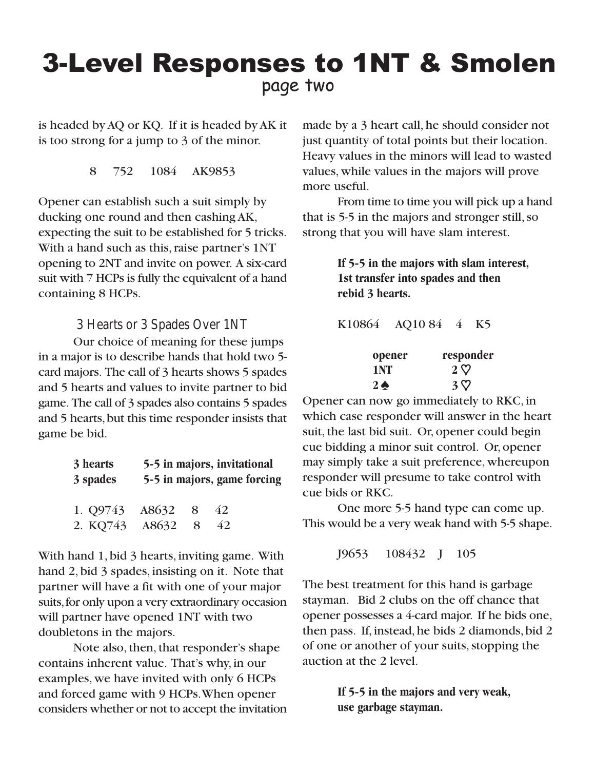## page two 3-Level Responses to 1NT & Smolen

is headed by AQ or KQ. If it is headed by AK it is too strong for a jump to 3 of the minor.

8 752 1084 AK9853

Opener can establish such a suit simply by ducking one round and then cashing AK, expecting the suit to be established for 5 tricks. With a hand such as this, raise partner's 1NT opening to 2NT and invite on power. A six-card suit with 7 HCPs is fully the equivalent of a hand containing 8 HCPs.

**3 Hearts or 3 Spades Over 1NT**

Our choice of meaning for these jumps in a major is to describe hands that hold two 5 card majors. The call of 3 hearts shows 5 spades and 5 hearts and values to invite partner to bid game. The call of 3 spades also contains 5 spades and 5 hearts, but this time responder insists that game be bid.

| 3 hearts<br>3 spades         | 5-5 in majors, invitational |   |          | 5-5 in majors, game forcing |
|------------------------------|-----------------------------|---|----------|-----------------------------|
| 1. Q9743 A8632 8<br>2. KQ743 | A8632                       | 8 | 42<br>42 |                             |

With hand 1, bid 3 hearts, inviting game. With hand 2, bid 3 spades, insisting on it. Note that partner will have a fit with one of your major suits, for only upon a very extraordinary occasion will partner have opened 1NT with two doubletons in the majors.

Note also, then, that responder's shape contains inherent value. That's why, in our examples, we have invited with only 6 HCPs and forced game with 9 HCPs. When opener considers whether or not to accept the invitation

made by a 3 heart call, he should consider not just quantity of total points but their location. Heavy values in the minors will lead to wasted values, while values in the majors will prove more useful.

From time to time you will pick up a hand that is 5-5 in the majors and stronger still, so strong that you will have slam interest.

> **If 5-5 in the majors with slam interest, 1st transfer into spades and then rebid 3 hearts.**

K10864 AQ10 84 4 K5

| opener        | responder  |
|---------------|------------|
| 1 NT          | $2 \nabla$ |
| $2\spadesuit$ | $3\nabla$  |

Opener can now go immediately to RKC, in which case responder will answer in the heart suit, the last bid suit. Or, opener could begin cue bidding a minor suit control. Or, opener may simply take a suit preference, whereupon responder will presume to take control with cue bids or RKC.

One more 5-5 hand type can come up. This would be a very weak hand with 5-5 shape.

J9653 108432 J 105

The best treatment for this hand is garbage stayman. Bid 2 clubs on the off chance that opener possesses a 4-card major. If he bids one, then pass. If, instead, he bids 2 diamonds, bid 2 of one or another of your suits, stopping the auction at the 2 level.

> **If 5-5 in the majors and very weak, use garbage stayman.**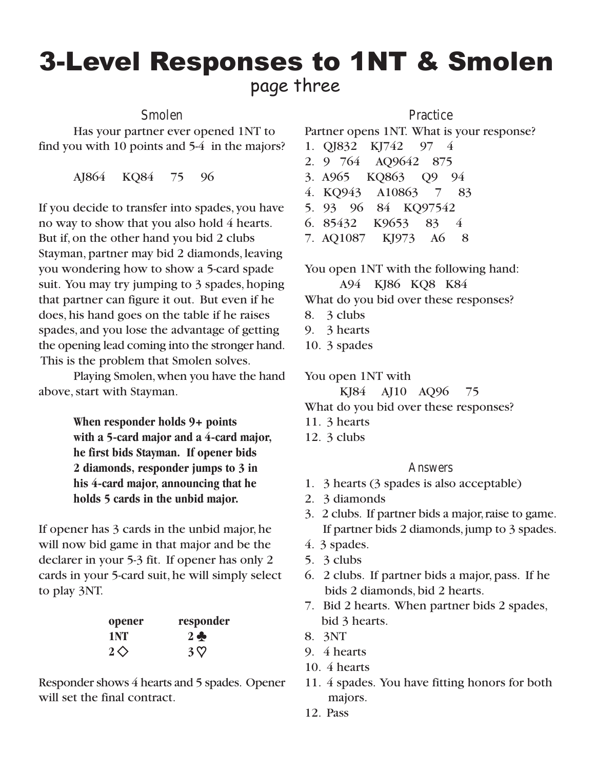### page three 3-Level Responses to 1NT & Smolen

**Smolen**

Has your partner ever opened 1NT to find you with 10 points and 5-4 in the majors?

AJ864 KQ84 75 96

If you decide to transfer into spades, you have no way to show that you also hold 4 hearts. But if, on the other hand you bid 2 clubs Stayman, partner may bid 2 diamonds, leaving you wondering how to show a 5-card spade suit. You may try jumping to 3 spades, hoping that partner can figure it out. But even if he does, his hand goes on the table if he raises spades, and you lose the advantage of getting the opening lead coming into the stronger hand. This is the problem that Smolen solves.

Playing Smolen, when you have the hand above, start with Stayman.

> **When responder holds 9+ points with a 5-card major and a 4-card major, he first bids Stayman. If opener bids 2 diamonds, responder jumps to 3 in his 4-card major, announcing that he holds 5 cards in the unbid major.**

If opener has 3 cards in the unbid major, he will now bid game in that major and be the declarer in your 5-3 fit. If opener has only 2 cards in your 5-card suit, he will simply select to play 3NT.

| opener          | responder     |
|-----------------|---------------|
| 1 NT            | $2 \clubsuit$ |
| $2\diamondsuit$ | $3\nabla$     |

Responder shows 4 hearts and 5 spades. Opener will set the final contract.

#### **Practice**

Partner opens 1NT. What is your response?

- 1. QJ832 KJ742 97 4
- 2. 9 764 AQ9642 875
- 3. A965 KQ863 Q9 94
- 4. KQ943 A10863 7 83
- 5. 93 96 84 KQ97542
- 6. 85432 K9653 83 4
- 7. AQ1087 KJ973 A6 8

You open 1NT with the following hand:

A94 KJ86 KQ8 K84

What do you bid over these responses?

- 8. 3 clubs
- 9. 3 hearts
- 10. 3 spades

You open 1NT with

KJ84 AJ10 AQ96 75

What do you bid over these responses?

- 11. 3 hearts
- 12. 3 clubs

#### **Answers**

- 1. 3 hearts (3 spades is also acceptable)
- 2. 3 diamonds
- 3. 2 clubs. If partner bids a major, raise to game. If partner bids 2 diamonds, jump to 3 spades.
- 4. 3 spades.
- 5. 3 clubs
- 6. 2 clubs. If partner bids a major, pass. If he bids 2 diamonds, bid 2 hearts.
- 7. Bid 2 hearts. When partner bids 2 spades, bid 3 hearts.
- 8. 3NT
- 9. 4 hearts
- 10. 4 hearts
- 11. 4 spades. You have fitting honors for both majors.
- 12. Pass